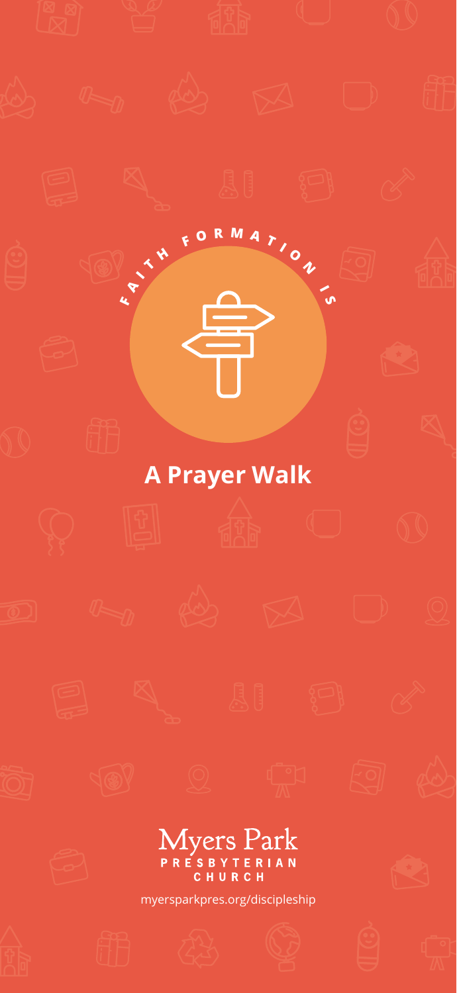